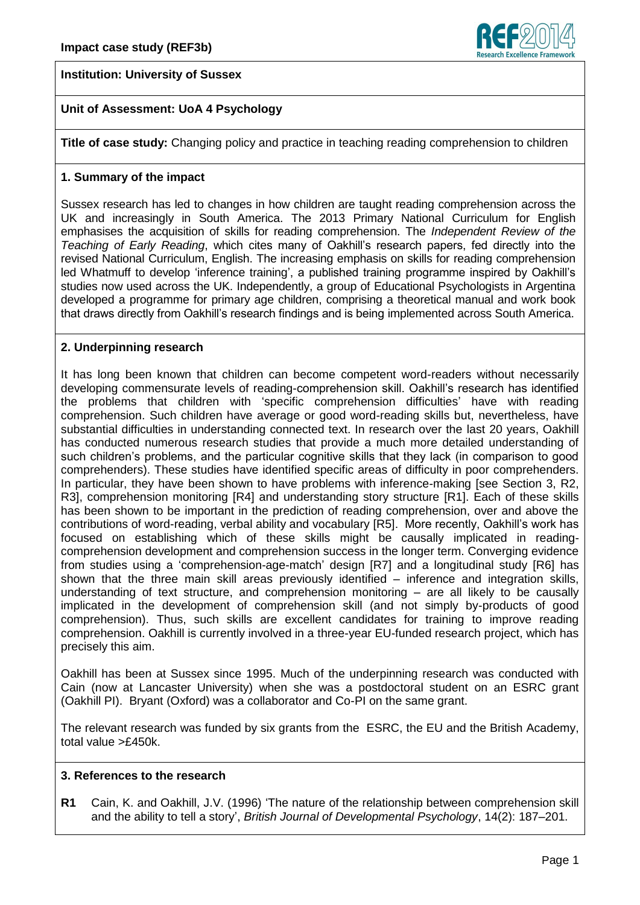



# **Unit of Assessment: UoA 4 Psychology**

**Title of case study:** Changing policy and practice in teaching reading comprehension to children

#### **1. Summary of the impact**

Sussex research has led to changes in how children are taught reading comprehension across the UK and increasingly in South America. The 2013 Primary National Curriculum for English emphasises the acquisition of skills for reading comprehension. The *Independent Review of the Teaching of Early Reading*, which cites many of Oakhill's research papers, fed directly into the revised National Curriculum, English. The increasing emphasis on skills for reading comprehension led Whatmuff to develop 'inference training', a published training programme inspired by Oakhill's studies now used across the UK. Independently, a group of Educational Psychologists in Argentina developed a programme for primary age children, comprising a theoretical manual and work book that draws directly from Oakhill's research findings and is being implemented across South America.

#### **2. Underpinning research**

It has long been known that children can become competent word-readers without necessarily developing commensurate levels of reading-comprehension skill. Oakhill's research has identified the problems that children with 'specific comprehension difficulties' have with reading comprehension. Such children have average or good word-reading skills but, nevertheless, have substantial difficulties in understanding connected text. In research over the last 20 years, Oakhill has conducted numerous research studies that provide a much more detailed understanding of such children's problems, and the particular cognitive skills that they lack (in comparison to good comprehenders). These studies have identified specific areas of difficulty in poor comprehenders. In particular, they have been shown to have problems with inference-making [see Section 3, R2, R3], comprehension monitoring [R4] and understanding story structure [R1]. Each of these skills has been shown to be important in the prediction of reading comprehension, over and above the contributions of word-reading, verbal ability and vocabulary [R5]. More recently, Oakhill's work has focused on establishing which of these skills might be causally implicated in readingcomprehension development and comprehension success in the longer term. Converging evidence from studies using a 'comprehension-age-match' design [R7] and a longitudinal study [R6] has shown that the three main skill areas previously identified – inference and integration skills, understanding of text structure, and comprehension monitoring – are all likely to be causally implicated in the development of comprehension skill (and not simply by-products of good comprehension). Thus, such skills are excellent candidates for training to improve reading comprehension. Oakhill is currently involved in a three-year EU-funded research project, which has precisely this aim.

Oakhill has been at Sussex since 1995. Much of the underpinning research was conducted with Cain (now at Lancaster University) when she was a postdoctoral student on an ESRC grant (Oakhill PI). Bryant (Oxford) was a collaborator and Co-PI on the same grant.

The relevant research was funded by six grants from the ESRC, the EU and the British Academy, total value >£450k.

#### **3. References to the research**

**R1** Cain, K. and Oakhill, J.V. (1996) 'The nature of the relationship between comprehension skill and the ability to tell a story', *British Journal of Developmental Psychology*, 14(2): 187–201.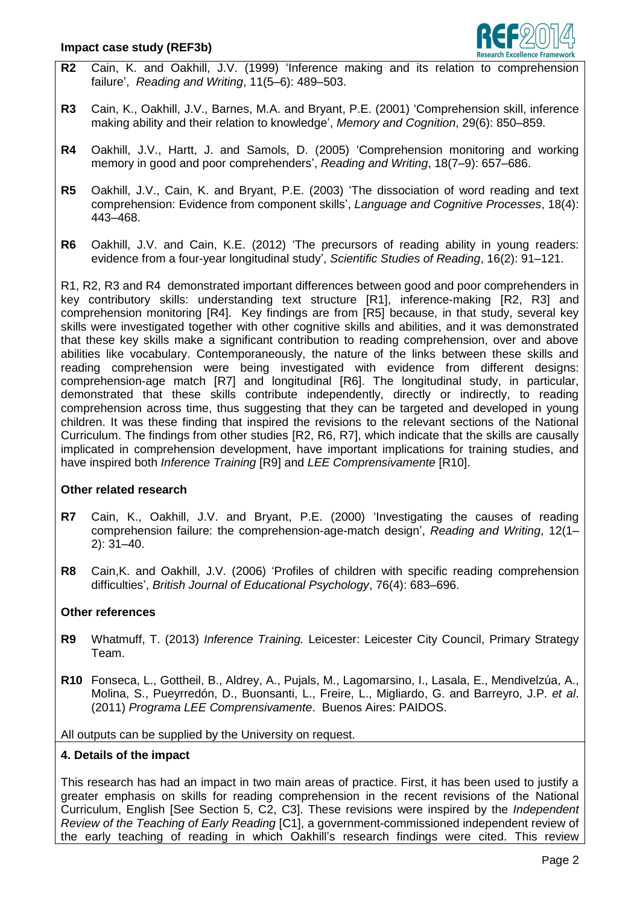

- **R2** Cain, K. and Oakhill, J.V. (1999) 'Inference making and its relation to comprehension failure', *Reading and Writing*, 11(5–6): 489–503.
- **R3** Cain, K., Oakhill, J.V., Barnes, M.A. and Bryant, P.E. (2001) 'Comprehension skill, inference making ability and their relation to knowledge', *Memory and Cognition*, 29(6): 850–859.
- **R4** Oakhill, J.V., Hartt, J. and Samols, D. (2005) 'Comprehension monitoring and working memory in good and poor comprehenders', *Reading and Writing*, 18(7–9): 657–686.
- **R5** Oakhill, J.V., Cain, K. and Bryant, P.E. (2003) 'The dissociation of word reading and text comprehension: Evidence from component skills', *Language and Cognitive Processes*, 18(4): 443–468.
- **R6** Oakhill, J.V. and Cain, K.E. (2012) 'The precursors of reading ability in young readers: evidence from a four-year longitudinal study', *Scientific Studies of Reading*, 16(2): 91–121.

R1, R2, R3 and R4 demonstrated important differences between good and poor comprehenders in key contributory skills: understanding text structure [R1], inference-making [R2, R3] and comprehension monitoring [R4]. Key findings are from [R5] because, in that study, several key skills were investigated together with other cognitive skills and abilities, and it was demonstrated that these key skills make a significant contribution to reading comprehension, over and above abilities like vocabulary. Contemporaneously, the nature of the links between these skills and reading comprehension were being investigated with evidence from different designs: comprehension-age match [R7] and longitudinal [R6]. The longitudinal study, in particular, demonstrated that these skills contribute independently, directly or indirectly, to reading comprehension across time, thus suggesting that they can be targeted and developed in young children. It was these finding that inspired the revisions to the relevant sections of the National Curriculum. The findings from other studies [R2, R6, R7], which indicate that the skills are causally implicated in comprehension development, have important implications for training studies, and have inspired both *Inference Training* [R9] and *LEE Comprensivamente* [R10].

# **Other related research**

- **R7** Cain, K., Oakhill, J.V. and Bryant, P.E. (2000) 'Investigating the causes of reading comprehension failure: the comprehension-age-match design', *Reading and Writing*, 12(1– 2): 31–40.
- **R8** Cain,K. and Oakhill, J.V. (2006) 'Profiles of children with specific reading comprehension difficulties', *British Journal of Educational Psychology*, [76\(4\):](http://onlinelibrary.wiley.com/doi/10.1111/bjep.2006.76.issue-4/issuetoc) 683–696.

# **Other references**

- **R9** Whatmuff, T. (2013) *Inference Training.* Leicester: Leicester City Council, Primary Strategy Team.
- **R10** Fonseca, L., Gottheil, B., Aldrey, A., Pujals, M., Lagomarsino, I., Lasala, E., Mendivelzúa, A., Molina, S., Pueyrredón, D., Buonsanti, L., Freire, L., Migliardo, G. and Barreyro, J.P. *et al*. (2011) *Programa LEE Comprensivamente*.Buenos Aires: PAIDOS.

All outputs can be supplied by the University on request.

# **4. Details of the impact**

This research has had an impact in two main areas of practice. First, it has been used to justify a greater emphasis on skills for reading comprehension in the recent revisions of the National Curriculum, English [See Section 5, C2, C3]. These revisions were inspired by the *Independent Review of the Teaching of Early Reading* [C1], a government-commissioned independent review of the early teaching of reading in which Oakhill's research findings were cited. This review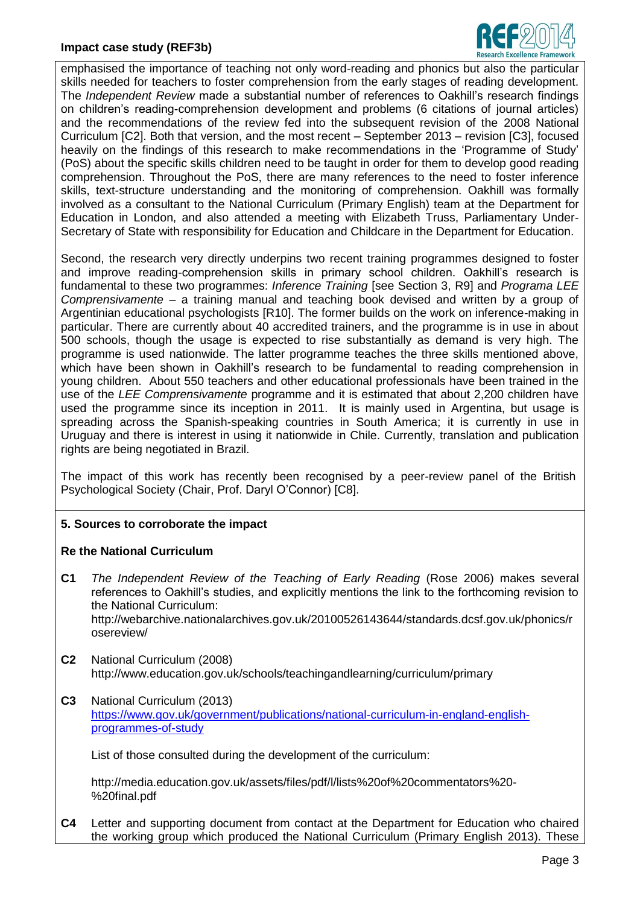

emphasised the importance of teaching not only word-reading and phonics but also the particular skills needed for teachers to foster comprehension from the early stages of reading development. The *Independent Review* made a substantial number of references to Oakhill's research findings on children's reading-comprehension development and problems (6 citations of journal articles) and the recommendations of the review fed into the subsequent revision of the 2008 National Curriculum [C2]. Both that version, and the most recent – September 2013 – revision [C3], focused heavily on the findings of this research to make recommendations in the 'Programme of Study' (PoS) about the specific skills children need to be taught in order for them to develop good reading comprehension. Throughout the PoS, there are many references to the need to foster inference skills, text-structure understanding and the monitoring of comprehension. Oakhill was formally involved as a consultant to the National Curriculum (Primary English) team at the Department for Education in London, and also attended a meeting with Elizabeth Truss, Parliamentary Under-Secretary of State with responsibility for Education and Childcare in the Department for Education.

Second, the research very directly underpins two recent training programmes designed to foster and improve reading-comprehension skills in primary school children. Oakhill's research is fundamental to these two programmes: *Inference Training* [see Section 3, R9] and *Programa LEE Comprensivamente* – a training manual and teaching book devised and written by a group of Argentinian educational psychologists [R10]. The former builds on the work on inference-making in particular. There are currently about 40 accredited trainers, and the programme is in use in about 500 schools, though the usage is expected to rise substantially as demand is very high. The programme is used nationwide. The latter programme teaches the three skills mentioned above, which have been shown in Oakhill's research to be fundamental to reading comprehension in young children. About 550 teachers and other educational professionals have been trained in the use of the *LEE Comprensivamente* programme and it is estimated that about 2,200 children have used the programme since its inception in 2011. It is mainly used in Argentina, but usage is spreading across the Spanish-speaking countries in South America; it is currently in use in Uruguay and there is interest in using it nationwide in Chile. Currently, translation and publication rights are being negotiated in Brazil.

The impact of this work has recently been recognised by a peer-review panel of the British Psychological Society (Chair, Prof. Daryl O'Connor) [C8].

# **5. Sources to corroborate the impact**

# **Re the National Curriculum**

- **C1** *The Independent Review of the Teaching of Early Reading* (Rose 2006) makes several references to Oakhill's studies, and explicitly mentions the link to the forthcoming revision to the National Curriculum: http://webarchive.nationalarchives.gov.uk/20100526143644/standards.dcsf.gov.uk/phonics/r osereview/
- **C2** National Curriculum (2008) http://www.education.gov.uk/schools/teachingandlearning/curriculum/primary
- **C3** National Curriculum (2013) [https://www.gov.uk/government/publications/national-curriculum-in-england-english](https://www.gov.uk/government/publications/national-curriculum-in-england-english-%0bprogrammes-of-study)[programmes-of-study](https://www.gov.uk/government/publications/national-curriculum-in-england-english-%0bprogrammes-of-study)

List of those consulted during the development of the curriculum:

http://media.education.gov.uk/assets/files/pdf/l/lists%20of%20commentators%20- %20final.pdf

**C4** Letter and supporting document from contact at the Department for Education who chaired the working group which produced the National Curriculum (Primary English 2013). These